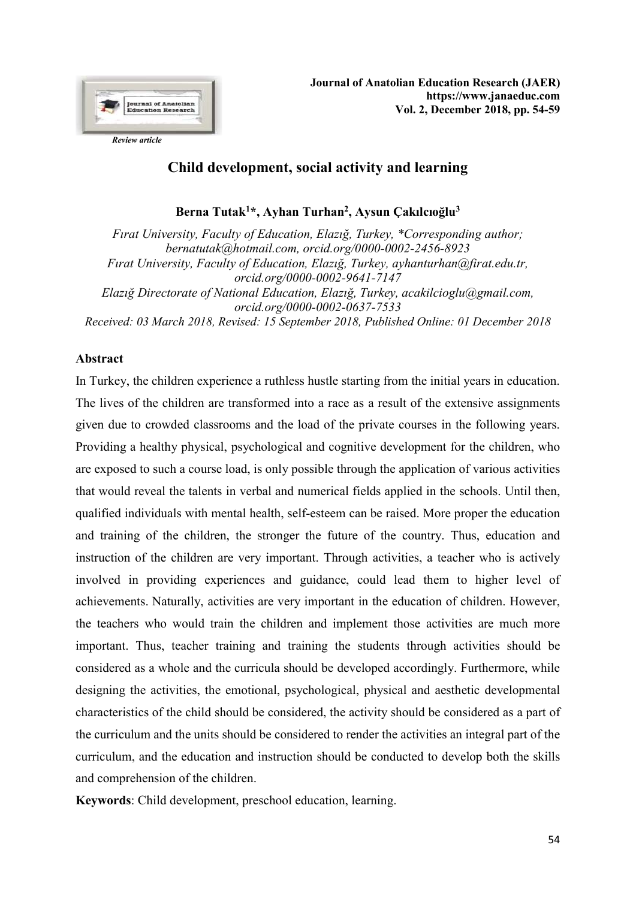

# Child development, social activity and learning

Berna Tutak<sup>1\*</sup>, Ayhan Turhan<sup>2</sup>, Aysun Çakılcıoğlu<sup>3</sup>

Fırat University, Faculty of Education, Elazığ, Turkey, \*Corresponding author; bernatutak@hotmail.com, orcid.org/0000-0002-2456-8923 Fırat University, Faculty of Education, Elazığ, Turkey, ayhanturhan@firat.edu.tr, orcid.org/0000-0002-9641-7147 Elazığ Directorate of National Education, Elazığ, Turkey, acakilcioglu@gmail.com, orcid.org/0000-0002-0637-7533 Received: 03 March 2018, Revised: 15 September 2018, Published Online: 01 December 2018

## Abstract

In Turkey, the children experience a ruthless hustle starting from the initial years in education. The lives of the children are transformed into a race as a result of the extensive assignments given due to crowded classrooms and the load of the private courses in the following years. Providing a healthy physical, psychological and cognitive development for the children, who are exposed to such a course load, is only possible through the application of various activities that would reveal the talents in verbal and numerical fields applied in the schools. Until then, qualified individuals with mental health, self-esteem can be raised. More proper the education and training of the children, the stronger the future of the country. Thus, education and instruction of the children are very important. Through activities, a teacher who is actively involved in providing experiences and guidance, could lead them to higher level of achievements. Naturally, activities are very important in the education of children. However, the teachers who would train the children and implement those activities are much more important. Thus, teacher training and training the students through activities should be considered as a whole and the curricula should be developed accordingly. Furthermore, while designing the activities, the emotional, psychological, physical and aesthetic developmental characteristics of the child should be considered, the activity should be considered as a part of the curriculum and the units should be considered to render the activities an integral part of the curriculum, and the education and instruction should be conducted to develop both the skills and comprehension of the children.

Keywords: Child development, preschool education, learning.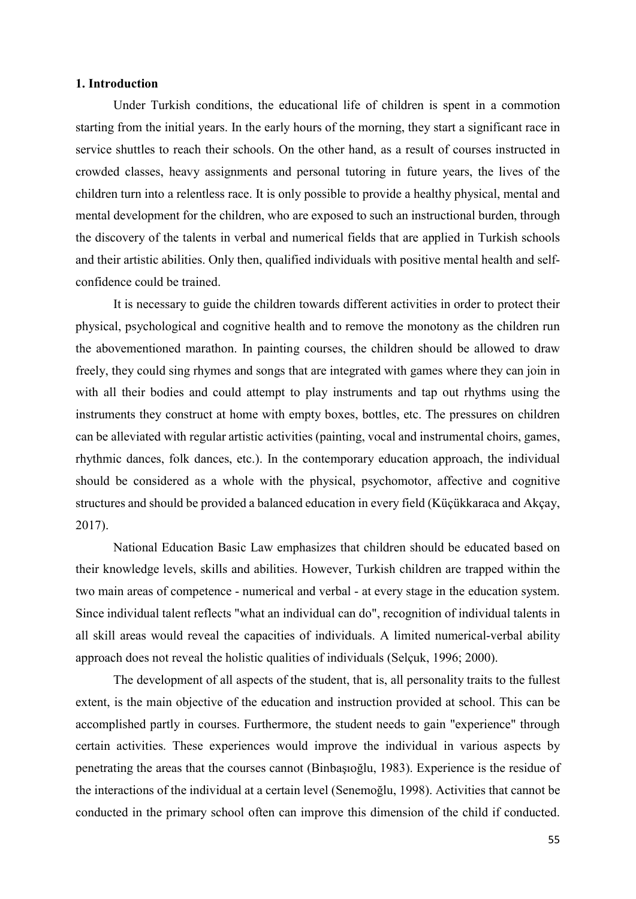#### 1. Introduction

Under Turkish conditions, the educational life of children is spent in a commotion starting from the initial years. In the early hours of the morning, they start a significant race in service shuttles to reach their schools. On the other hand, as a result of courses instructed in crowded classes, heavy assignments and personal tutoring in future years, the lives of the children turn into a relentless race. It is only possible to provide a healthy physical, mental and mental development for the children, who are exposed to such an instructional burden, through the discovery of the talents in verbal and numerical fields that are applied in Turkish schools and their artistic abilities. Only then, qualified individuals with positive mental health and selfconfidence could be trained.

It is necessary to guide the children towards different activities in order to protect their physical, psychological and cognitive health and to remove the monotony as the children run the abovementioned marathon. In painting courses, the children should be allowed to draw freely, they could sing rhymes and songs that are integrated with games where they can join in with all their bodies and could attempt to play instruments and tap out rhythms using the instruments they construct at home with empty boxes, bottles, etc. The pressures on children can be alleviated with regular artistic activities (painting, vocal and instrumental choirs, games, rhythmic dances, folk dances, etc.). In the contemporary education approach, the individual should be considered as a whole with the physical, psychomotor, affective and cognitive structures and should be provided a balanced education in every field (Küçükkaraca and Akçay, 2017).

National Education Basic Law emphasizes that children should be educated based on their knowledge levels, skills and abilities. However, Turkish children are trapped within the two main areas of competence - numerical and verbal - at every stage in the education system. Since individual talent reflects "what an individual can do", recognition of individual talents in all skill areas would reveal the capacities of individuals. A limited numerical-verbal ability approach does not reveal the holistic qualities of individuals (Selçuk, 1996; 2000).

The development of all aspects of the student, that is, all personality traits to the fullest extent, is the main objective of the education and instruction provided at school. This can be accomplished partly in courses. Furthermore, the student needs to gain "experience" through certain activities. These experiences would improve the individual in various aspects by penetrating the areas that the courses cannot (Binbaşıoğlu, 1983). Experience is the residue of the interactions of the individual at a certain level (Senemoğlu, 1998). Activities that cannot be conducted in the primary school often can improve this dimension of the child if conducted.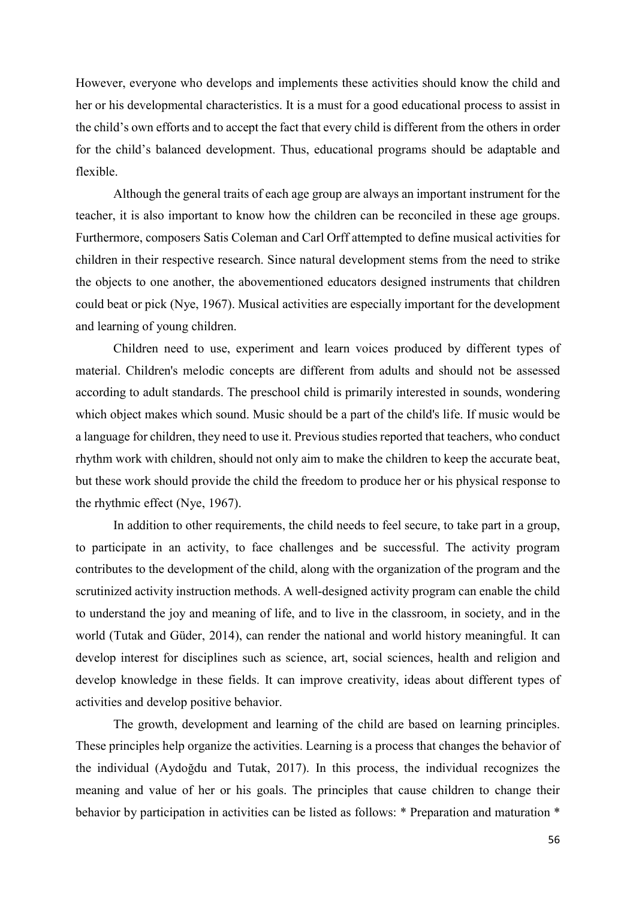However, everyone who develops and implements these activities should know the child and her or his developmental characteristics. It is a must for a good educational process to assist in the child's own efforts and to accept the fact that every child is different from the others in order for the child's balanced development. Thus, educational programs should be adaptable and flexible.

Although the general traits of each age group are always an important instrument for the teacher, it is also important to know how the children can be reconciled in these age groups. Furthermore, composers Satis Coleman and Carl Orff attempted to define musical activities for children in their respective research. Since natural development stems from the need to strike the objects to one another, the abovementioned educators designed instruments that children could beat or pick (Nye, 1967). Musical activities are especially important for the development and learning of young children.

Children need to use, experiment and learn voices produced by different types of material. Children's melodic concepts are different from adults and should not be assessed according to adult standards. The preschool child is primarily interested in sounds, wondering which object makes which sound. Music should be a part of the child's life. If music would be a language for children, they need to use it. Previous studies reported that teachers, who conduct rhythm work with children, should not only aim to make the children to keep the accurate beat, but these work should provide the child the freedom to produce her or his physical response to the rhythmic effect (Nye, 1967).

In addition to other requirements, the child needs to feel secure, to take part in a group, to participate in an activity, to face challenges and be successful. The activity program contributes to the development of the child, along with the organization of the program and the scrutinized activity instruction methods. A well-designed activity program can enable the child to understand the joy and meaning of life, and to live in the classroom, in society, and in the world (Tutak and Güder, 2014), can render the national and world history meaningful. It can develop interest for disciplines such as science, art, social sciences, health and religion and develop knowledge in these fields. It can improve creativity, ideas about different types of activities and develop positive behavior.

The growth, development and learning of the child are based on learning principles. These principles help organize the activities. Learning is a process that changes the behavior of the individual (Aydoğdu and Tutak, 2017). In this process, the individual recognizes the meaning and value of her or his goals. The principles that cause children to change their behavior by participation in activities can be listed as follows: \* Preparation and maturation \*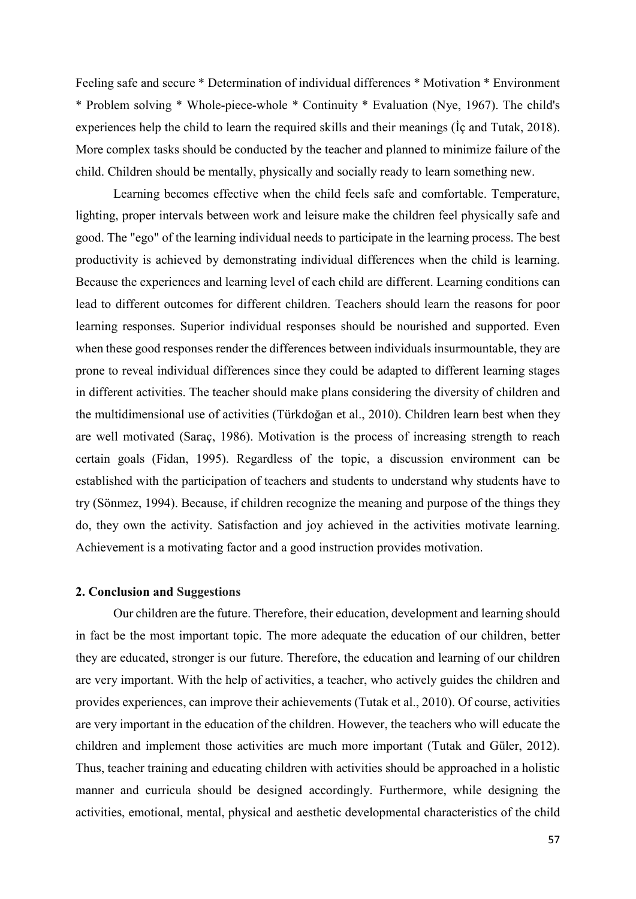Feeling safe and secure \* Determination of individual differences \* Motivation \* Environment \* Problem solving \* Whole-piece-whole \* Continuity \* Evaluation (Nye, 1967). The child's experiences help the child to learn the required skills and their meanings (İç and Tutak, 2018). More complex tasks should be conducted by the teacher and planned to minimize failure of the child. Children should be mentally, physically and socially ready to learn something new.

Learning becomes effective when the child feels safe and comfortable. Temperature, lighting, proper intervals between work and leisure make the children feel physically safe and good. The "ego" of the learning individual needs to participate in the learning process. The best productivity is achieved by demonstrating individual differences when the child is learning. Because the experiences and learning level of each child are different. Learning conditions can lead to different outcomes for different children. Teachers should learn the reasons for poor learning responses. Superior individual responses should be nourished and supported. Even when these good responses render the differences between individuals insurmountable, they are prone to reveal individual differences since they could be adapted to different learning stages in different activities. The teacher should make plans considering the diversity of children and the multidimensional use of activities (Türkdoğan et al., 2010). Children learn best when they are well motivated (Saraç, 1986). Motivation is the process of increasing strength to reach certain goals (Fidan, 1995). Regardless of the topic, a discussion environment can be established with the participation of teachers and students to understand why students have to try (Sönmez, 1994). Because, if children recognize the meaning and purpose of the things they do, they own the activity. Satisfaction and joy achieved in the activities motivate learning. Achievement is a motivating factor and a good instruction provides motivation.

#### 2. Conclusion and Suggestions

Our children are the future. Therefore, their education, development and learning should in fact be the most important topic. The more adequate the education of our children, better they are educated, stronger is our future. Therefore, the education and learning of our children are very important. With the help of activities, a teacher, who actively guides the children and provides experiences, can improve their achievements (Tutak et al., 2010). Of course, activities are very important in the education of the children. However, the teachers who will educate the children and implement those activities are much more important (Tutak and Güler, 2012). Thus, teacher training and educating children with activities should be approached in a holistic manner and curricula should be designed accordingly. Furthermore, while designing the activities, emotional, mental, physical and aesthetic developmental characteristics of the child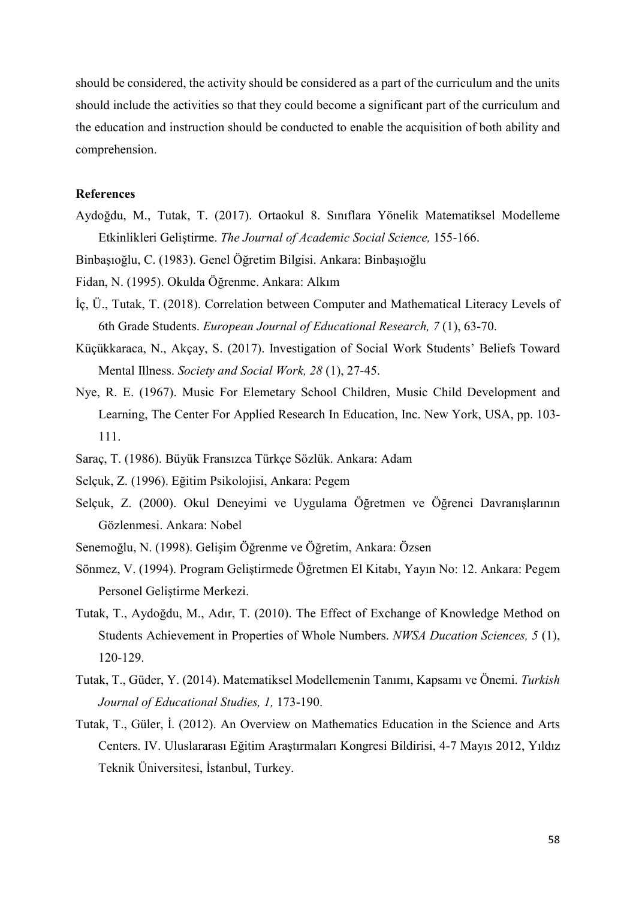should be considered, the activity should be considered as a part of the curriculum and the units should include the activities so that they could become a significant part of the curriculum and the education and instruction should be conducted to enable the acquisition of both ability and comprehension.

### References

Aydoğdu, M., Tutak, T. (2017). Ortaokul 8. Sınıflara Yönelik Matematiksel Modelleme Etkinlikleri Geliştirme. The Journal of Academic Social Science, 155-166.

Binbaşıoğlu, C. (1983). Genel Öğretim Bilgisi. Ankara: Binbaşıoğlu

Fidan, N. (1995). Okulda Öğrenme. Ankara: Alkım

- İç, Ü., Tutak, T. (2018). Correlation between Computer and Mathematical Literacy Levels of 6th Grade Students. European Journal of Educational Research, 7 (1), 63-70.
- Küçükkaraca, N., Akçay, S. (2017). Investigation of Social Work Students' Beliefs Toward Mental Illness. Society and Social Work, 28 (1), 27-45.
- Nye, R. E. (1967). Music For Elemetary School Children, Music Child Development and Learning, The Center For Applied Research In Education, Inc. New York, USA, pp. 103- 111.
- Saraç, T. (1986). Büyük Fransızca Türkçe Sözlük. Ankara: Adam
- Selçuk, Z. (1996). Eğitim Psikolojisi, Ankara: Pegem
- Selçuk, Z. (2000). Okul Deneyimi ve Uygulama Öğretmen ve Öğrenci Davranışlarının Gözlenmesi. Ankara: Nobel
- Senemoğlu, N. (1998). Gelişim Öğrenme ve Öğretim, Ankara: Özsen
- Sönmez, V. (1994). Program Geliştirmede Öğretmen El Kitabı, Yayın No: 12. Ankara: Pegem Personel Geliştirme Merkezi.
- Tutak, T., Aydoğdu, M., Adır, T. (2010). The Effect of Exchange of Knowledge Method on Students Achievement in Properties of Whole Numbers. NWSA Ducation Sciences, 5 (1), 120-129.
- Tutak, T., Güder, Y. (2014). Matematiksel Modellemenin Tanımı, Kapsamı ve Önemi. Turkish Journal of Educational Studies, 1, 173-190.
- Tutak, T., Güler, İ. (2012). An Overview on Mathematics Education in the Science and Arts Centers. IV. Uluslararası Eğitim Araştırmaları Kongresi Bildirisi, 4-7 Mayıs 2012, Yıldız Teknik Üniversitesi, İstanbul, Turkey.